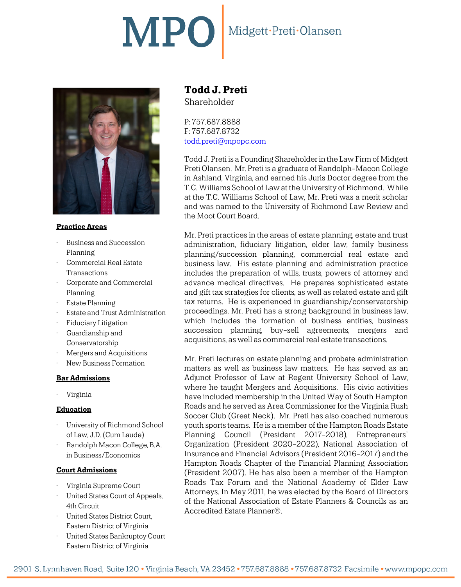## MPO Midgett·Preti·Olansen



#### **Practice Areas**

- Business and Succession Planning
- Commercial Real Estate **Transactions**
- Corporate and Commercial Planning
- Estate Planning
- Estate and Trust Administration
- Fiduciary Litigation
- Guardianship and Conservatorship
- Mergers and Acquisitions
- New Business Formation

#### **Bar Admissions**

• Virginia

#### **Education**

- University of Richmond School of Law, J.D. (Cum Laude)
- Randolph Macon College, B.A. in Business/Economics

#### **Court Admissions**

- Virginia Supreme Court
- United States Court of Appeals, 4th Circuit
- United States District Court, Eastern District of Virginia
- United States Bankruptcy Court Eastern District of Virginia

## **Todd J. Preti** Shareholder

P: 757.687.8888 F: 757.687.8732 [todd.preti@mpopc.com](mailto:todd.preti@mpopc.com)

Todd J. Preti is a Founding Shareholder in the Law Firm of Midgett Preti Olansen. Mr. Preti is a graduate of Randolph-Macon College in Ashland, Virginia, and earned his Juris Doctor degree from the T.C. Williams School of Law at the University of Richmond. While at the T.C. Williams School of Law, Mr. Preti was a merit scholar and was named to the University of Richmond Law Review and the Moot Court Board.

Mr. Preti practices in the areas of estate planning, estate and trust administration, fiduciary litigation, elder law, family business planning/succession planning, commercial real estate and business law. His estate planning and administration practice includes the preparation of wills, trusts, powers of attorney and advance medical directives. He prepares sophisticated estate and gift tax strategies for clients, as well as related estate and gift tax returns. He is experienced in guardianship/conservatorship proceedings. Mr. Preti has a strong background in business law, which includes the formation of business entities, business succession planning, buy-sell agreements, mergers and acquisitions, as well as commercial real estate transactions.

Mr. Preti lectures on estate planning and probate administration matters as well as business law matters. He has served as an Adjunct Professor of Law at Regent University School of Law, where he taught Mergers and Acquisitions. His civic activities have included membership in the United Way of South Hampton Roads and he served as Area Commissioner for the Virginia Rush Soccer Club (Great Neck). Mr. Preti has also coached numerous youth sports teams. He is a member of the Hampton Roads Estate Planning Council (President 2017-2018), Entrepreneurs' Organization (President 2020-2022), National Association of Insurance and Financial Advisors (President 2016-2017) and the Hampton Roads Chapter of the Financial Planning Association (President 2007). He has also been a member of the Hampton Roads Tax Forum and the National Academy of Elder Law Attorneys. In May 2011, he was elected by the Board of Directors of the National Association of Estate Planners & Councils as an Accredited Estate Planner®.